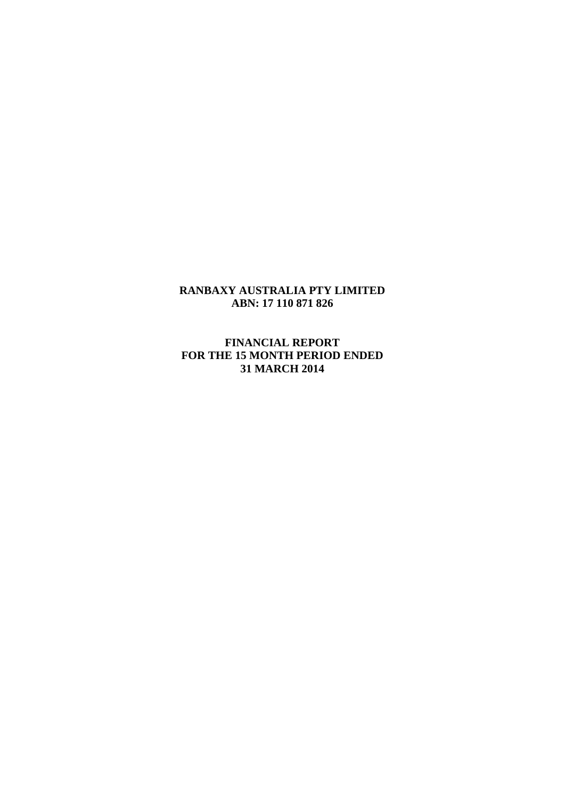# **RANBAXY AUSTRALIA PTY LIMITED ABN: 17 110 871 826**

**FINANCIAL REPORT FOR THE 15 MONTH PERIOD ENDED 31 MARCH 2014**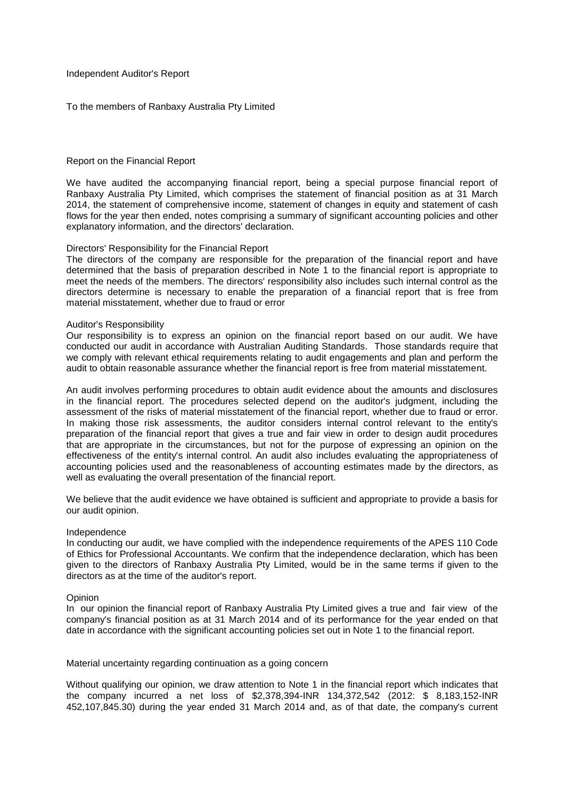Independent Auditor's Report

To the members of Ranbaxy Australia Pty Limited

### Report on the Financial Report

We have audited the accompanying financial report, being a special purpose financial report of Ranbaxy Australia Pty Limited, which comprises the statement of financial position as at 31 March 2014, the statement of comprehensive income, statement of changes in equity and statement of cash flows for the year then ended, notes comprising a summary of significant accounting policies and other explanatory information, and the directors' declaration.

#### Directors' Responsibility for the Financial Report

The directors of the company are responsible for the preparation of the financial report and have determined that the basis of preparation described in Note 1 to the financial report is appropriate to meet the needs of the members. The directors' responsibility also includes such internal control as the directors determine is necessary to enable the preparation of a financial report that is free from material misstatement, whether due to fraud or error

#### Auditor's Responsibility

Our responsibility is to express an opinion on the financial report based on our audit. We have conducted our audit in accordance with Australian Auditing Standards. Those standards require that we comply with relevant ethical requirements relating to audit engagements and plan and perform the audit to obtain reasonable assurance whether the financial report is free from material misstatement.

An audit involves performing procedures to obtain audit evidence about the amounts and disclosures in the financial report. The procedures selected depend on the auditor's judgment, including the assessment of the risks of material misstatement of the financial report, whether due to fraud or error. In making those risk assessments, the auditor considers internal control relevant to the entity's preparation of the financial report that gives a true and fair view in order to design audit procedures that are appropriate in the circumstances, but not for the purpose of expressing an opinion on the effectiveness of the entity's internal control. An audit also includes evaluating the appropriateness of accounting policies used and the reasonableness of accounting estimates made by the directors, as well as evaluating the overall presentation of the financial report.

We believe that the audit evidence we have obtained is sufficient and appropriate to provide a basis for our audit opinion.

#### Independence

In conducting our audit, we have complied with the independence requirements of the APES 110 Code of Ethics for Professional Accountants. We confirm that the independence declaration, which has been given to the directors of Ranbaxy Australia Pty Limited, would be in the same terms if given to the directors as at the time of the auditor's report.

#### Opinion

In our opinion the financial report of Ranbaxy Australia Pty Limited gives a true and fair view of the company's financial position as at 31 March 2014 and of its performance for the year ended on that date in accordance with the significant accounting policies set out in Note 1 to the financial report.

#### Material uncertainty regarding continuation as a going concern

Without qualifying our opinion, we draw attention to Note 1 in the financial report which indicates that the company incurred a net loss of \$2,378,394-INR 134,372,542 (2012: \$ 8,183,152-INR 452,107,845.30) during the year ended 31 March 2014 and, as of that date, the company's current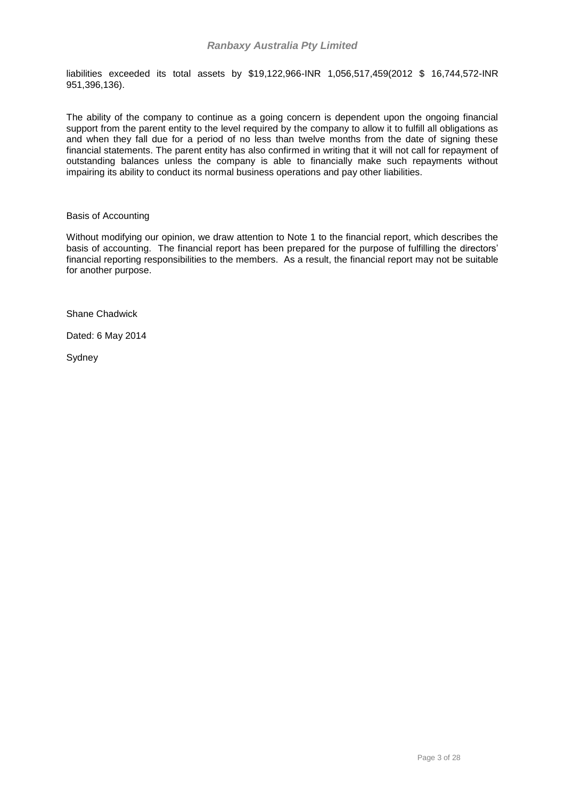liabilities exceeded its total assets by \$19,122,966-INR 1,056,517,459(2012 \$ 16,744,572-INR 951,396,136).

The ability of the company to continue as a going concern is dependent upon the ongoing financial support from the parent entity to the level required by the company to allow it to fulfill all obligations as and when they fall due for a period of no less than twelve months from the date of signing these financial statements. The parent entity has also confirmed in writing that it will not call for repayment of outstanding balances unless the company is able to financially make such repayments without impairing its ability to conduct its normal business operations and pay other liabilities.

### Basis of Accounting

Without modifying our opinion, we draw attention to Note 1 to the financial report, which describes the basis of accounting. The financial report has been prepared for the purpose of fulfilling the directors' financial reporting responsibilities to the members. As a result, the financial report may not be suitable for another purpose.

Shane Chadwick

Dated: 6 May 2014

Sydney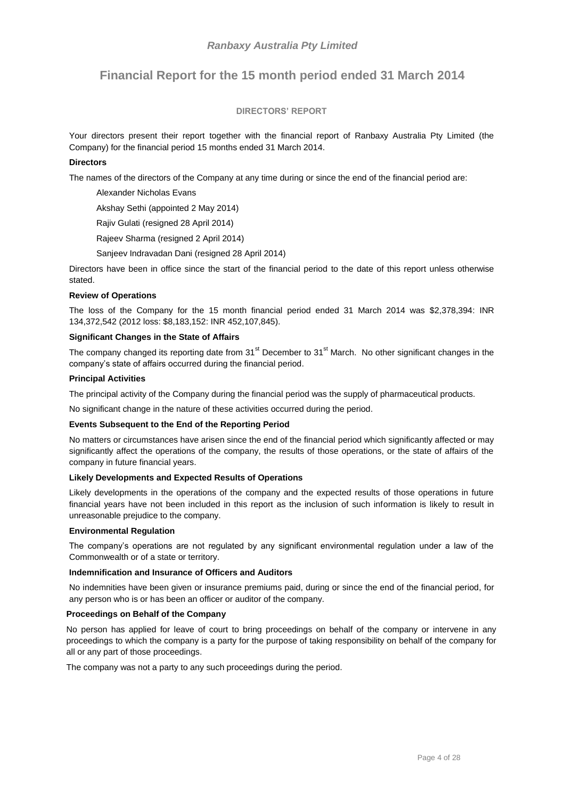# **Financial Report for the 15 month period ended 31 March 2014**

### **DIRECTORS' REPORT**

Your directors present their report together with the financial report of Ranbaxy Australia Pty Limited (the Company) for the financial period 15 months ended 31 March 2014.

#### **Directors**

The names of the directors of the Company at any time during or since the end of the financial period are:

Alexander Nicholas Evans

Akshay Sethi (appointed 2 May 2014)

Rajiv Gulati (resigned 28 April 2014)

Rajeev Sharma (resigned 2 April 2014)

Sanjeev Indravadan Dani (resigned 28 April 2014)

Directors have been in office since the start of the financial period to the date of this report unless otherwise stated.

#### **Review of Operations**

The loss of the Company for the 15 month financial period ended 31 March 2014 was \$2,378,394: INR 134,372,542 (2012 loss: \$8,183,152: INR 452,107,845).

### **Significant Changes in the State of Affairs**

The company changed its reporting date from 31<sup>st</sup> December to 31<sup>st</sup> March. No other significant changes in the company's state of affairs occurred during the financial period.

#### **Principal Activities**

The principal activity of the Company during the financial period was the supply of pharmaceutical products.

No significant change in the nature of these activities occurred during the period.

#### **Events Subsequent to the End of the Reporting Period**

No matters or circumstances have arisen since the end of the financial period which significantly affected or may significantly affect the operations of the company, the results of those operations, or the state of affairs of the company in future financial years.

### **Likely Developments and Expected Results of Operations**

Likely developments in the operations of the company and the expected results of those operations in future financial years have not been included in this report as the inclusion of such information is likely to result in unreasonable prejudice to the company.

#### **Environmental Regulation**

The company's operations are not regulated by any significant environmental regulation under a law of the Commonwealth or of a state or territory.

#### **Indemnification and Insurance of Officers and Auditors**

No indemnities have been given or insurance premiums paid, during or since the end of the financial period, for any person who is or has been an officer or auditor of the company.

### **Proceedings on Behalf of the Company**

No person has applied for leave of court to bring proceedings on behalf of the company or intervene in any proceedings to which the company is a party for the purpose of taking responsibility on behalf of the company for all or any part of those proceedings.

The company was not a party to any such proceedings during the period.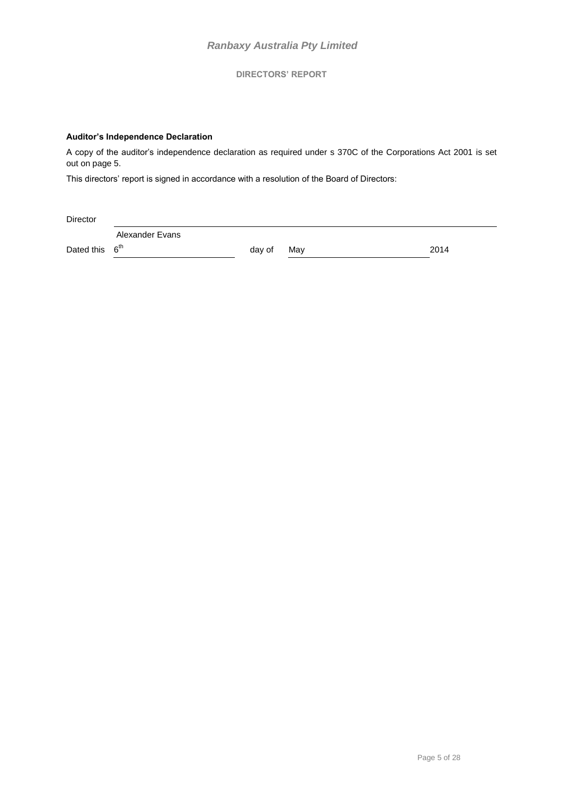#### **DIRECTORS' REPORT**

### **Auditor's Independence Declaration**

A copy of the auditor's independence declaration as required under s 370C of the Corporations Act 2001 is set out on page 5.

This directors' report is signed in accordance with a resolution of the Board of Directors:

Director

Dated this 6<sup>th</sup>

Alexander Evans

th day of May 2014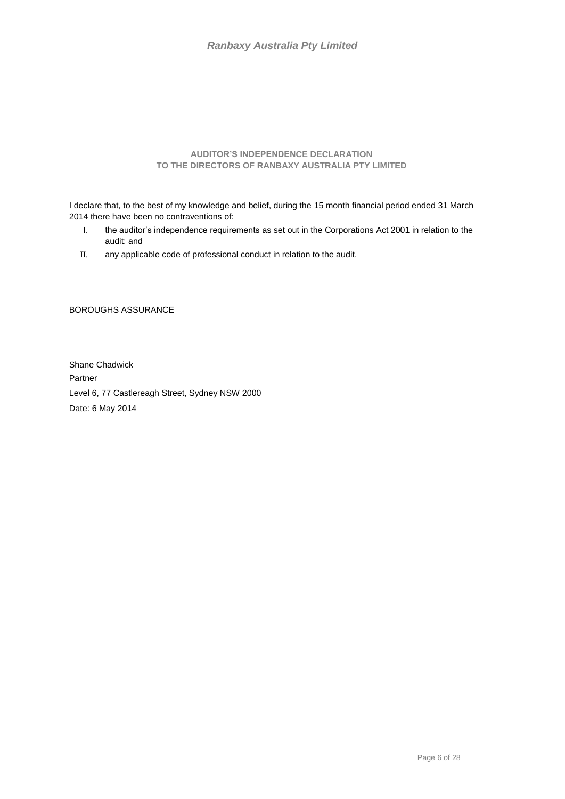### **AUDITOR'S INDEPENDENCE DECLARATION TO THE DIRECTORS OF RANBAXY AUSTRALIA PTY LIMITED**

I declare that, to the best of my knowledge and belief, during the 15 month financial period ended 31 March 2014 there have been no contraventions of:

- I. the auditor's independence requirements as set out in the Corporations Act 2001 in relation to the audit: and
- II. any applicable code of professional conduct in relation to the audit.

### BOROUGHS ASSURANCE

Shane Chadwick Partner Level 6, 77 Castlereagh Street, Sydney NSW 2000 Date: 6 May 2014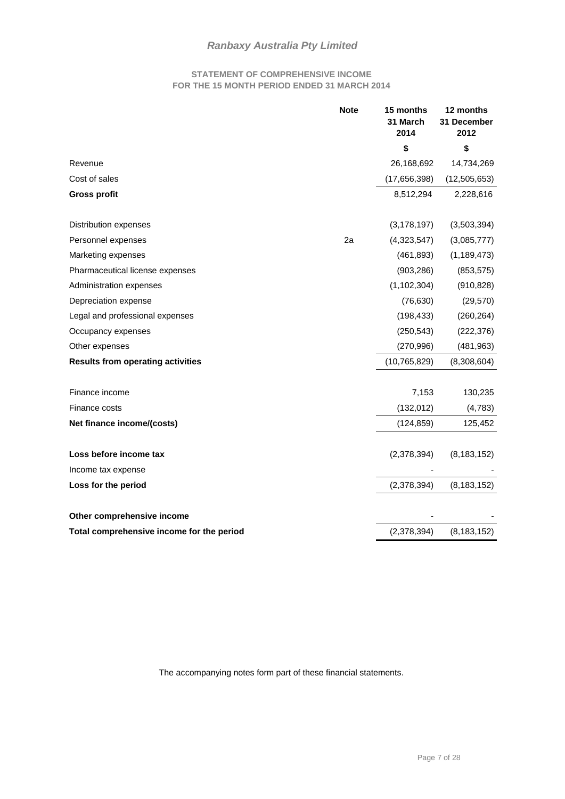### **STATEMENT OF COMPREHENSIVE INCOME FOR THE 15 MONTH PERIOD ENDED 31 MARCH 2014**

|                                           | <b>Note</b> | 15 months<br>31 March<br>2014 | 12 months<br>31 December<br>2012 |
|-------------------------------------------|-------------|-------------------------------|----------------------------------|
|                                           |             | \$                            | \$                               |
| Revenue                                   |             | 26,168,692                    | 14,734,269                       |
| Cost of sales                             |             | (17,656,398)                  | (12,505,653)                     |
| <b>Gross profit</b>                       |             | 8,512,294                     | 2,228,616                        |
| Distribution expenses                     |             | (3, 178, 197)                 | (3,503,394)                      |
| Personnel expenses                        | 2a          | (4,323,547)                   | (3,085,777)                      |
| Marketing expenses                        |             | (461, 893)                    | (1, 189, 473)                    |
| Pharmaceutical license expenses           |             | (903, 286)                    | (853, 575)                       |
| Administration expenses                   |             | (1, 102, 304)                 | (910, 828)                       |
| Depreciation expense                      |             | (76, 630)                     | (29, 570)                        |
| Legal and professional expenses           |             | (198, 433)                    | (260, 264)                       |
| Occupancy expenses                        |             | (250, 543)                    | (222, 376)                       |
| Other expenses                            |             | (270, 996)                    | (481, 963)                       |
| <b>Results from operating activities</b>  |             | (10, 765, 829)                | (8,308,604)                      |
| Finance income                            |             | 7,153                         | 130,235                          |
| Finance costs                             |             | (132, 012)                    | (4,783)                          |
| Net finance income/(costs)                |             | (124, 859)                    | 125,452                          |
| Loss before income tax                    |             | (2,378,394)                   | (8, 183, 152)                    |
| Income tax expense                        |             |                               |                                  |
| Loss for the period                       |             | (2,378,394)                   | (8, 183, 152)                    |
| Other comprehensive income                |             |                               |                                  |
| Total comprehensive income for the period |             | (2,378,394)                   | (8, 183, 152)                    |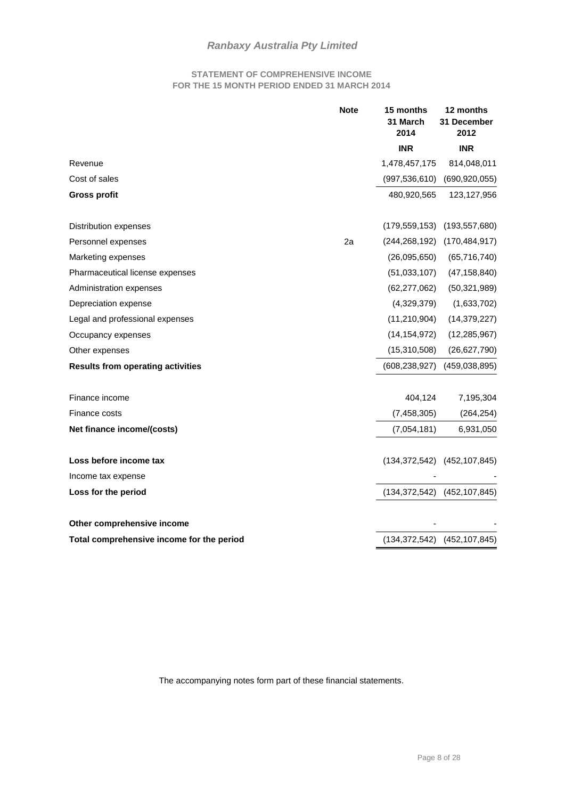### **STATEMENT OF COMPREHENSIVE INCOME FOR THE 15 MONTH PERIOD ENDED 31 MARCH 2014**

|                                           | <b>Note</b> | 15 months<br>31 March<br>2014 | 12 months<br>31 December<br>2012    |
|-------------------------------------------|-------------|-------------------------------|-------------------------------------|
|                                           |             | <b>INR</b>                    | <b>INR</b>                          |
| Revenue                                   |             | 1,478,457,175                 | 814,048,011                         |
| Cost of sales                             |             |                               | $(997, 536, 610)$ $(690, 920, 055)$ |
| <b>Gross profit</b>                       |             | 480,920,565                   | 123, 127, 956                       |
| Distribution expenses                     |             | (179, 559, 153)               | (193, 557, 680)                     |
| Personnel expenses                        | 2a          | (244, 268, 192)               | (170,484,917)                       |
| Marketing expenses                        |             | (26,095,650)                  | (65, 716, 740)                      |
| Pharmaceutical license expenses           |             | (51,033,107)                  | (47, 158, 840)                      |
| Administration expenses                   |             | (62, 277, 062)                | (50, 321, 989)                      |
| Depreciation expense                      |             | (4,329,379)                   | (1,633,702)                         |
| Legal and professional expenses           |             | (11, 210, 904)                | (14, 379, 227)                      |
| Occupancy expenses                        |             | (14, 154, 972)                | (12, 285, 967)                      |
| Other expenses                            |             | (15,310,508)                  | (26,627,790)                        |
| <b>Results from operating activities</b>  |             | (608, 238, 927)               | (459,038,895)                       |
| Finance income                            |             | 404,124                       | 7,195,304                           |
| Finance costs                             |             | (7, 458, 305)                 | (264, 254)                          |
| Net finance income/(costs)                |             | (7,054,181)                   | 6,931,050                           |
| Loss before income tax                    |             |                               | $(134, 372, 542)$ $(452, 107, 845)$ |
| Income tax expense                        |             |                               |                                     |
| Loss for the period                       |             |                               | $(134, 372, 542)$ $(452, 107, 845)$ |
| Other comprehensive income                |             |                               |                                     |
| Total comprehensive income for the period |             |                               | $(134, 372, 542)$ $(452, 107, 845)$ |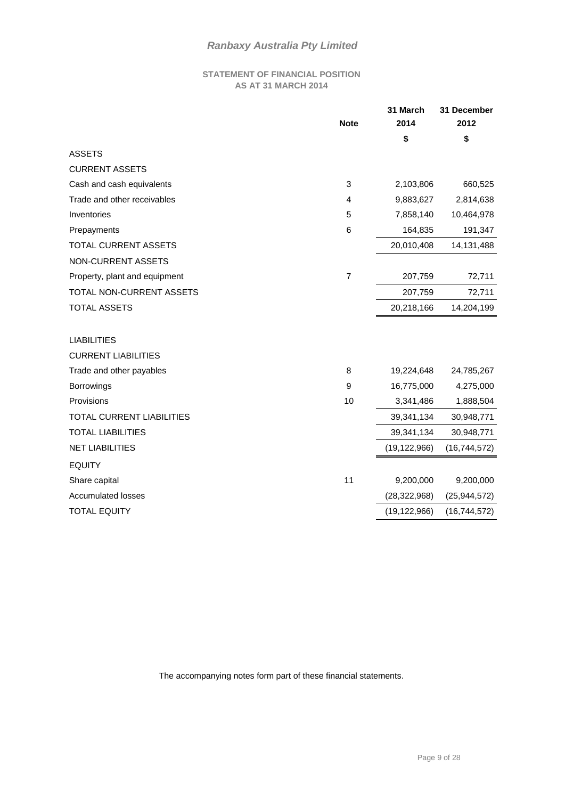### **STATEMENT OF FINANCIAL POSITION AS AT 31 MARCH 2014**

|                                  |                | 31 March       | 31 December    |
|----------------------------------|----------------|----------------|----------------|
|                                  | <b>Note</b>    | 2014           | 2012           |
|                                  |                | \$             | \$             |
| <b>ASSETS</b>                    |                |                |                |
| <b>CURRENT ASSETS</b>            |                |                |                |
| Cash and cash equivalents        | 3              | 2,103,806      | 660,525        |
| Trade and other receivables      | 4              | 9,883,627      | 2,814,638      |
| Inventories                      | 5              | 7,858,140      | 10,464,978     |
| Prepayments                      | 6              | 164,835        | 191,347        |
| <b>TOTAL CURRENT ASSETS</b>      |                | 20,010,408     | 14,131,488     |
| NON-CURRENT ASSETS               |                |                |                |
| Property, plant and equipment    | $\overline{7}$ | 207,759        | 72,711         |
| <b>TOTAL NON-CURRENT ASSETS</b>  |                | 207,759        | 72,711         |
| <b>TOTAL ASSETS</b>              |                | 20,218,166     | 14,204,199     |
|                                  |                |                |                |
| <b>LIABILITIES</b>               |                |                |                |
| <b>CURRENT LIABILITIES</b>       |                |                |                |
| Trade and other payables         | 8              | 19,224,648     | 24,785,267     |
| Borrowings                       | 9              | 16,775,000     | 4,275,000      |
| Provisions                       | 10             | 3,341,486      | 1,888,504      |
| <b>TOTAL CURRENT LIABILITIES</b> |                | 39,341,134     | 30,948,771     |
| <b>TOTAL LIABILITIES</b>         |                | 39,341,134     | 30,948,771     |
| <b>NET LIABILITIES</b>           |                | (19, 122, 966) | (16, 744, 572) |
| <b>EQUITY</b>                    |                |                |                |
| Share capital                    | 11             | 9,200,000      | 9,200,000      |
| <b>Accumulated losses</b>        |                | (28, 322, 968) | (25, 944, 572) |
| <b>TOTAL EQUITY</b>              |                | (19, 122, 966) | (16, 744, 572) |
|                                  |                |                |                |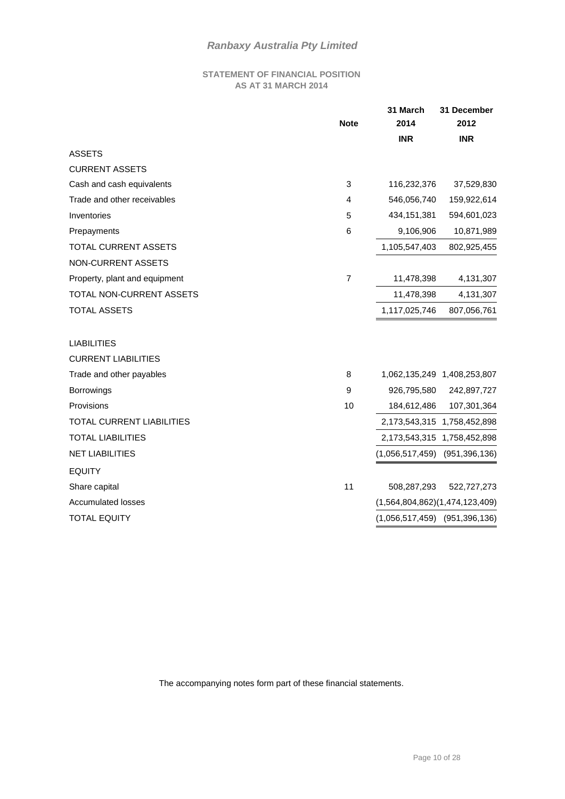### **STATEMENT OF FINANCIAL POSITION AS AT 31 MARCH 2014**

| <b>INR</b><br><b>INR</b><br><b>ASSETS</b><br><b>CURRENT ASSETS</b><br>3<br>Cash and cash equivalents<br>116,232,376<br>37,529,830<br>Trade and other receivables<br>4<br>546,056,740<br>159,922,614<br>Inventories<br>5<br>434,151,381<br>594,601,023<br>6<br>9,106,906<br>10,871,989<br>Prepayments<br>TOTAL CURRENT ASSETS<br>1,105,547,403<br>802,925,455<br>NON-CURRENT ASSETS<br>$\overline{7}$<br>11,478,398<br>4,131,307<br>Property, plant and equipment<br>TOTAL NON-CURRENT ASSETS<br>11,478,398<br>4,131,307<br><b>TOTAL ASSETS</b><br>1,117,025,746<br>807,056,761<br><b>LIABILITIES</b><br><b>CURRENT LIABILITIES</b><br>1,062,135,249 1,408,253,807<br>Trade and other payables<br>8<br>9<br>926,795,580<br>Borrowings<br>242,897,727<br>Provisions<br>10<br>184,612,486<br>107,301,364<br><b>TOTAL CURRENT LIABILITIES</b><br>2,173,543,315 1,758,452,898<br><b>TOTAL LIABILITIES</b><br>2,173,543,315 1,758,452,898<br><b>NET LIABILITIES</b><br>(1,056,517,459)<br>(951, 396, 136)<br><b>EQUITY</b><br>11<br>Share capital<br>508,287,293<br>522,727,273<br>(1,564,804,862)(1,474,123,409)<br><b>Accumulated losses</b><br><b>TOTAL EQUITY</b><br>(1,056,517,459)<br>(951, 396, 136) |             | 31 March | 31 December |
|-------------------------------------------------------------------------------------------------------------------------------------------------------------------------------------------------------------------------------------------------------------------------------------------------------------------------------------------------------------------------------------------------------------------------------------------------------------------------------------------------------------------------------------------------------------------------------------------------------------------------------------------------------------------------------------------------------------------------------------------------------------------------------------------------------------------------------------------------------------------------------------------------------------------------------------------------------------------------------------------------------------------------------------------------------------------------------------------------------------------------------------------------------------------------------------------------------|-------------|----------|-------------|
|                                                                                                                                                                                                                                                                                                                                                                                                                                                                                                                                                                                                                                                                                                                                                                                                                                                                                                                                                                                                                                                                                                                                                                                                       | <b>Note</b> | 2014     | 2012        |
|                                                                                                                                                                                                                                                                                                                                                                                                                                                                                                                                                                                                                                                                                                                                                                                                                                                                                                                                                                                                                                                                                                                                                                                                       |             |          |             |
|                                                                                                                                                                                                                                                                                                                                                                                                                                                                                                                                                                                                                                                                                                                                                                                                                                                                                                                                                                                                                                                                                                                                                                                                       |             |          |             |
|                                                                                                                                                                                                                                                                                                                                                                                                                                                                                                                                                                                                                                                                                                                                                                                                                                                                                                                                                                                                                                                                                                                                                                                                       |             |          |             |
|                                                                                                                                                                                                                                                                                                                                                                                                                                                                                                                                                                                                                                                                                                                                                                                                                                                                                                                                                                                                                                                                                                                                                                                                       |             |          |             |
|                                                                                                                                                                                                                                                                                                                                                                                                                                                                                                                                                                                                                                                                                                                                                                                                                                                                                                                                                                                                                                                                                                                                                                                                       |             |          |             |
|                                                                                                                                                                                                                                                                                                                                                                                                                                                                                                                                                                                                                                                                                                                                                                                                                                                                                                                                                                                                                                                                                                                                                                                                       |             |          |             |
|                                                                                                                                                                                                                                                                                                                                                                                                                                                                                                                                                                                                                                                                                                                                                                                                                                                                                                                                                                                                                                                                                                                                                                                                       |             |          |             |
|                                                                                                                                                                                                                                                                                                                                                                                                                                                                                                                                                                                                                                                                                                                                                                                                                                                                                                                                                                                                                                                                                                                                                                                                       |             |          |             |
|                                                                                                                                                                                                                                                                                                                                                                                                                                                                                                                                                                                                                                                                                                                                                                                                                                                                                                                                                                                                                                                                                                                                                                                                       |             |          |             |
|                                                                                                                                                                                                                                                                                                                                                                                                                                                                                                                                                                                                                                                                                                                                                                                                                                                                                                                                                                                                                                                                                                                                                                                                       |             |          |             |
|                                                                                                                                                                                                                                                                                                                                                                                                                                                                                                                                                                                                                                                                                                                                                                                                                                                                                                                                                                                                                                                                                                                                                                                                       |             |          |             |
|                                                                                                                                                                                                                                                                                                                                                                                                                                                                                                                                                                                                                                                                                                                                                                                                                                                                                                                                                                                                                                                                                                                                                                                                       |             |          |             |
|                                                                                                                                                                                                                                                                                                                                                                                                                                                                                                                                                                                                                                                                                                                                                                                                                                                                                                                                                                                                                                                                                                                                                                                                       |             |          |             |
|                                                                                                                                                                                                                                                                                                                                                                                                                                                                                                                                                                                                                                                                                                                                                                                                                                                                                                                                                                                                                                                                                                                                                                                                       |             |          |             |
|                                                                                                                                                                                                                                                                                                                                                                                                                                                                                                                                                                                                                                                                                                                                                                                                                                                                                                                                                                                                                                                                                                                                                                                                       |             |          |             |
|                                                                                                                                                                                                                                                                                                                                                                                                                                                                                                                                                                                                                                                                                                                                                                                                                                                                                                                                                                                                                                                                                                                                                                                                       |             |          |             |
|                                                                                                                                                                                                                                                                                                                                                                                                                                                                                                                                                                                                                                                                                                                                                                                                                                                                                                                                                                                                                                                                                                                                                                                                       |             |          |             |
|                                                                                                                                                                                                                                                                                                                                                                                                                                                                                                                                                                                                                                                                                                                                                                                                                                                                                                                                                                                                                                                                                                                                                                                                       |             |          |             |
|                                                                                                                                                                                                                                                                                                                                                                                                                                                                                                                                                                                                                                                                                                                                                                                                                                                                                                                                                                                                                                                                                                                                                                                                       |             |          |             |
|                                                                                                                                                                                                                                                                                                                                                                                                                                                                                                                                                                                                                                                                                                                                                                                                                                                                                                                                                                                                                                                                                                                                                                                                       |             |          |             |
|                                                                                                                                                                                                                                                                                                                                                                                                                                                                                                                                                                                                                                                                                                                                                                                                                                                                                                                                                                                                                                                                                                                                                                                                       |             |          |             |
|                                                                                                                                                                                                                                                                                                                                                                                                                                                                                                                                                                                                                                                                                                                                                                                                                                                                                                                                                                                                                                                                                                                                                                                                       |             |          |             |
|                                                                                                                                                                                                                                                                                                                                                                                                                                                                                                                                                                                                                                                                                                                                                                                                                                                                                                                                                                                                                                                                                                                                                                                                       |             |          |             |
|                                                                                                                                                                                                                                                                                                                                                                                                                                                                                                                                                                                                                                                                                                                                                                                                                                                                                                                                                                                                                                                                                                                                                                                                       |             |          |             |
|                                                                                                                                                                                                                                                                                                                                                                                                                                                                                                                                                                                                                                                                                                                                                                                                                                                                                                                                                                                                                                                                                                                                                                                                       |             |          |             |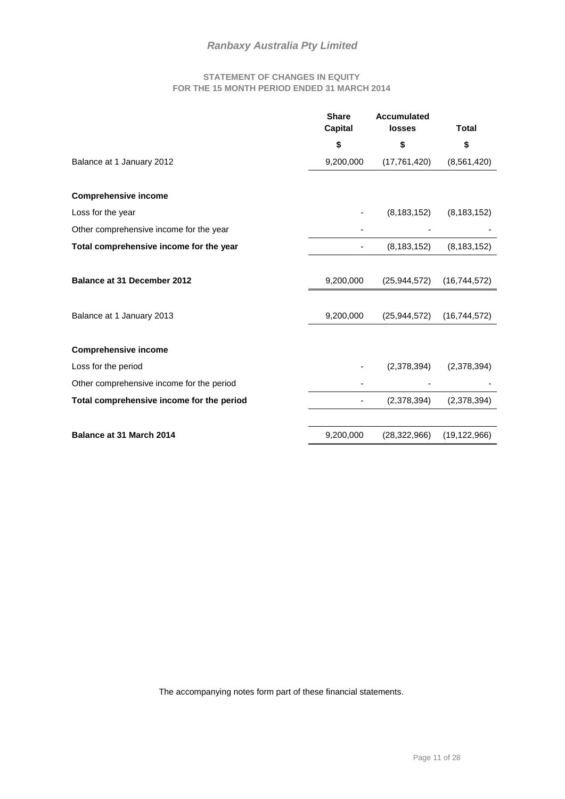### **STATEMENT OF CHANGES IN EQUITY FOR THE 15 MONTH PERIOD ENDED 31 MARCH 2014**

|                                           | <b>Share</b><br><b>Capital</b> | <b>Accumulated</b><br><b>losses</b> | <b>Total</b>   |
|-------------------------------------------|--------------------------------|-------------------------------------|----------------|
|                                           | \$                             | \$                                  | \$             |
| Balance at 1 January 2012                 | 9,200,000                      | (17,761,420)                        | (8,561,420)    |
| <b>Comprehensive income</b>               |                                |                                     |                |
| Loss for the year                         |                                | (8, 183, 152)                       | (8, 183, 152)  |
| Other comprehensive income for the year   |                                |                                     |                |
| Total comprehensive income for the year   |                                | (8, 183, 152)                       | (8, 183, 152)  |
| <b>Balance at 31 December 2012</b>        | 9,200,000                      | (25,944,572)                        | (16,744,572)   |
| Balance at 1 January 2013                 | 9,200,000                      | (25,944,572)                        | (16,744,572)   |
| <b>Comprehensive income</b>               |                                |                                     |                |
| Loss for the period                       |                                | (2,378,394)                         | (2,378,394)    |
| Other comprehensive income for the period |                                |                                     |                |
| Total comprehensive income for the period |                                | (2,378,394)                         | (2,378,394)    |
|                                           |                                |                                     |                |
| Balance at 31 March 2014                  | 9,200,000                      | (28, 322, 966)                      | (19, 122, 966) |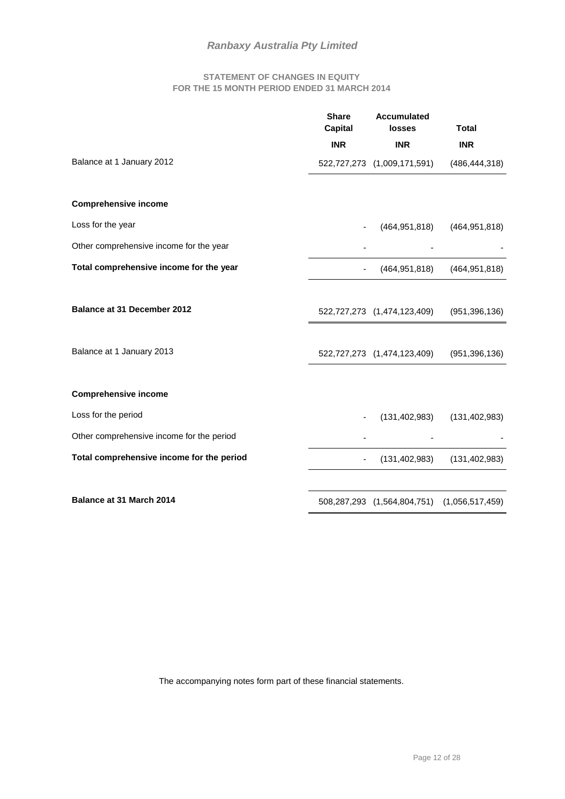### **STATEMENT OF CHANGES IN EQUITY FOR THE 15 MONTH PERIOD ENDED 31 MARCH 2014**

| <b>Share</b><br><b>Capital</b> | <b>Accumulated</b><br><b>losses</b> | <b>Total</b>                                                                                                             |
|--------------------------------|-------------------------------------|--------------------------------------------------------------------------------------------------------------------------|
| <b>INR</b>                     | <b>INR</b>                          | <b>INR</b>                                                                                                               |
|                                |                                     | (486, 444, 318)                                                                                                          |
|                                |                                     |                                                                                                                          |
|                                | (464, 951, 818)                     | (464, 951, 818)                                                                                                          |
|                                |                                     |                                                                                                                          |
|                                | (464, 951, 818)                     | (464, 951, 818)                                                                                                          |
|                                |                                     |                                                                                                                          |
|                                |                                     | (951, 396, 136)                                                                                                          |
|                                |                                     |                                                                                                                          |
|                                |                                     | (951, 396, 136)                                                                                                          |
|                                |                                     |                                                                                                                          |
|                                |                                     |                                                                                                                          |
|                                | (131, 402, 983)                     | (131, 402, 983)                                                                                                          |
|                                |                                     |                                                                                                                          |
| $\overline{\phantom{a}}$       | (131, 402, 983)                     | (131, 402, 983)                                                                                                          |
|                                |                                     |                                                                                                                          |
|                                |                                     | (1,056,517,459)                                                                                                          |
|                                |                                     | 522,727,273 (1,009,171,591)<br>522,727,273 (1,474,123,409)<br>522,727,273 (1,474,123,409)<br>508,287,293 (1,564,804,751) |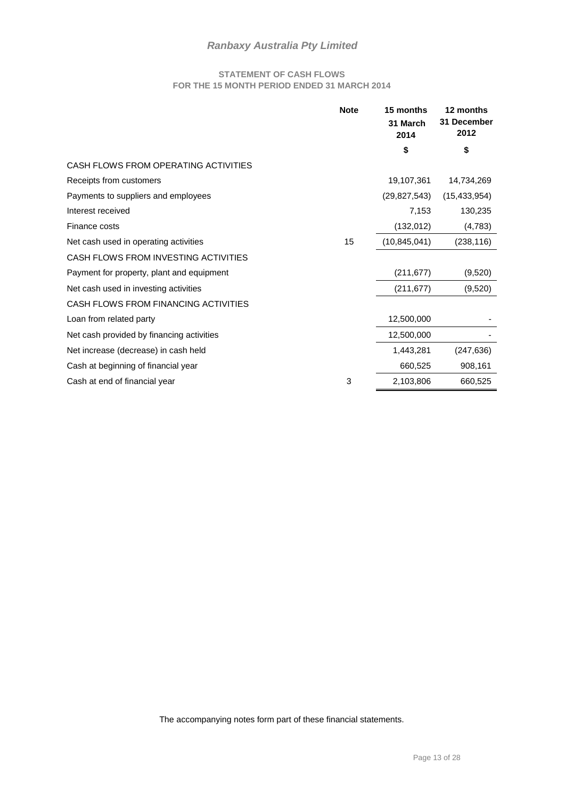### **STATEMENT OF CASH FLOWS FOR THE 15 MONTH PERIOD ENDED 31 MARCH 2014**

|                                           | <b>Note</b> | 15 months<br>31 March<br>2014 | 12 months<br>31 December<br>2012 |
|-------------------------------------------|-------------|-------------------------------|----------------------------------|
|                                           |             | \$                            | \$                               |
| CASH FLOWS FROM OPERATING ACTIVITIES      |             |                               |                                  |
| Receipts from customers                   |             | 19,107,361                    | 14,734,269                       |
| Payments to suppliers and employees       |             | (29, 827, 543)                | (15, 433, 954)                   |
| Interest received                         |             | 7,153                         | 130,235                          |
| Finance costs                             |             | (132, 012)                    | (4,783)                          |
| Net cash used in operating activities     | 15          | (10, 845, 041)                | (238, 116)                       |
| CASH FLOWS FROM INVESTING ACTIVITIES      |             |                               |                                  |
| Payment for property, plant and equipment |             | (211, 677)                    | (9,520)                          |
| Net cash used in investing activities     |             | (211, 677)                    | (9,520)                          |
| CASH FLOWS FROM FINANCING ACTIVITIES      |             |                               |                                  |
| Loan from related party                   |             | 12,500,000                    |                                  |
| Net cash provided by financing activities |             | 12,500,000                    |                                  |
| Net increase (decrease) in cash held      |             | 1,443,281                     | (247, 636)                       |
| Cash at beginning of financial year       |             | 660,525                       | 908,161                          |
| Cash at end of financial year             | 3           | 2,103,806                     | 660,525                          |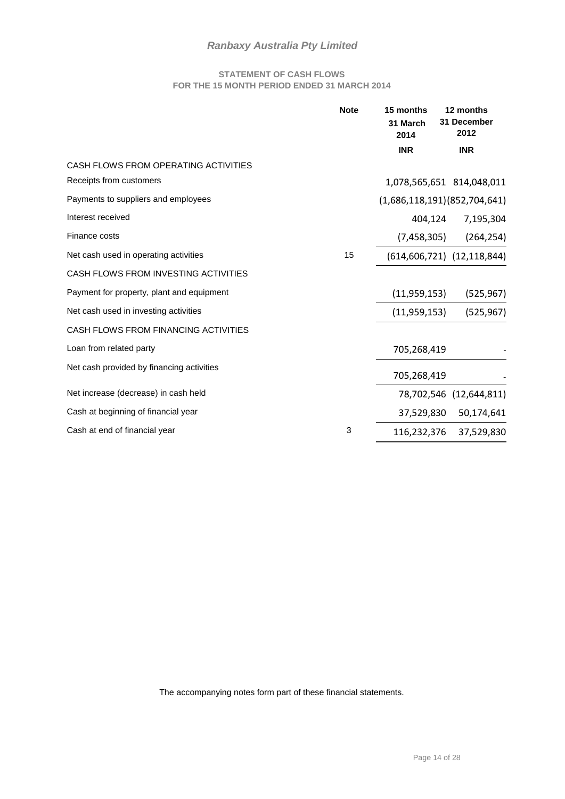### **STATEMENT OF CASH FLOWS FOR THE 15 MONTH PERIOD ENDED 31 MARCH 2014**

|                                           | <b>Note</b> | 15 months<br>31 March<br>2014 | 12 months<br>31 December<br>2012   |
|-------------------------------------------|-------------|-------------------------------|------------------------------------|
|                                           |             | <b>INR</b>                    | <b>INR</b>                         |
| CASH FLOWS FROM OPERATING ACTIVITIES      |             |                               |                                    |
| Receipts from customers                   |             |                               | 1,078,565,651 814,048,011          |
| Payments to suppliers and employees       |             |                               | (1,686,118,191)(852,704,641)       |
| Interest received                         |             | 404,124                       | 7,195,304                          |
| Finance costs                             |             | (7,458,305)                   | (264, 254)                         |
| Net cash used in operating activities     | 15          |                               | $(614, 606, 721)$ $(12, 118, 844)$ |
| CASH FLOWS FROM INVESTING ACTIVITIES      |             |                               |                                    |
| Payment for property, plant and equipment |             | (11,959,153)                  | (525, 967)                         |
| Net cash used in investing activities     |             | (11, 959, 153)                | (525, 967)                         |
| CASH FLOWS FROM FINANCING ACTIVITIES      |             |                               |                                    |
| Loan from related party                   |             | 705,268,419                   |                                    |
| Net cash provided by financing activities |             | 705,268,419                   |                                    |
| Net increase (decrease) in cash held      |             |                               | 78,702,546 (12,644,811)            |
| Cash at beginning of financial year       |             | 37,529,830                    | 50,174,641                         |
| Cash at end of financial year             | 3           | 116,232,376                   | 37,529,830                         |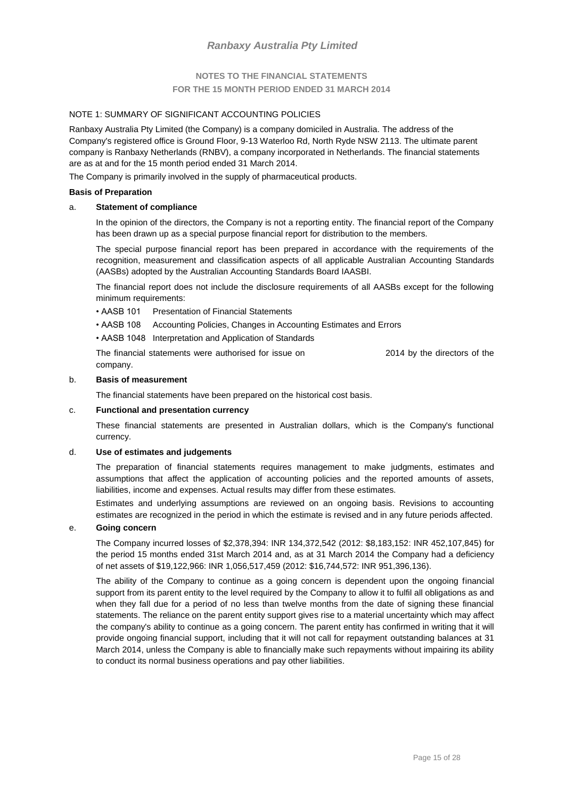## **NOTES TO THE FINANCIAL STATEMENTS FOR THE 15 MONTH PERIOD ENDED 31 MARCH 2014**

#### NOTE 1: SUMMARY OF SIGNIFICANT ACCOUNTING POLICIES

Ranbaxy Australia Pty Limited (the Company) is a company domiciled in Australia. The address of the Company's registered office is Ground Floor, 9-13 Waterloo Rd, North Ryde NSW 2113. The ultimate parent company is Ranbaxy Netherlands (RNBV), a company incorporated in Netherlands. The financial statements are as at and for the 15 month period ended 31 March 2014.

The Company is primarily involved in the supply of pharmaceutical products.

#### **Basis of Preparation**

#### a. **Statement of compliance**

In the opinion of the directors, the Company is not a reporting entity. The financial report of the Company has been drawn up as a special purpose financial report for distribution to the members.

The special purpose financial report has been prepared in accordance with the requirements of the recognition, measurement and classification aspects of all applicable Australian Accounting Standards (AASBs) adopted by the Australian Accounting Standards Board IAASBI.

The financial report does not include the disclosure requirements of all AASBs except for the following minimum requirements:

- AASB 101 Presentation of Financial Statements
- AASB 108 Accounting Policies, Changes in Accounting Estimates and Errors
- AASB 1048 Interpretation and Application of Standards

The financial statements were authorised for issue on 2014 by the directors of the company.

#### b. **Basis of measurement**

The financial statements have been prepared on the historical cost basis.

#### c. **Functional and presentation currency**

These financial statements are presented in Australian dollars, which is the Company's functional currency.

#### d. **Use of estimates and judgements**

The preparation of financial statements requires management to make judgments, estimates and assumptions that affect the application of accounting policies and the reported amounts of assets, liabilities, income and expenses. Actual results may differ from these estimates.

Estimates and underlying assumptions are reviewed on an ongoing basis. Revisions to accounting estimates are recognized in the period in which the estimate is revised and in any future periods affected.

### e. **Going concern**

The Company incurred losses of \$2,378,394: INR 134,372,542 (2012: \$8,183,152: INR 452,107,845) for the period 15 months ended 31st March 2014 and, as at 31 March 2014 the Company had a deficiency of net assets of \$19,122,966: INR 1,056,517,459 (2012: \$16,744,572: INR 951,396,136).

The ability of the Company to continue as a going concern is dependent upon the ongoing financial support from its parent entity to the level required by the Company to allow it to fulfil all obligations as and when they fall due for a period of no less than twelve months from the date of signing these financial statements. The reliance on the parent entity support gives rise to a material uncertainty which may affect the company's ability to continue as a going concern. The parent entity has confirmed in writing that it will provide ongoing financial support, including that it will not call for repayment outstanding balances at 31 March 2014, unless the Company is able to financially make such repayments without impairing its ability to conduct its normal business operations and pay other liabilities.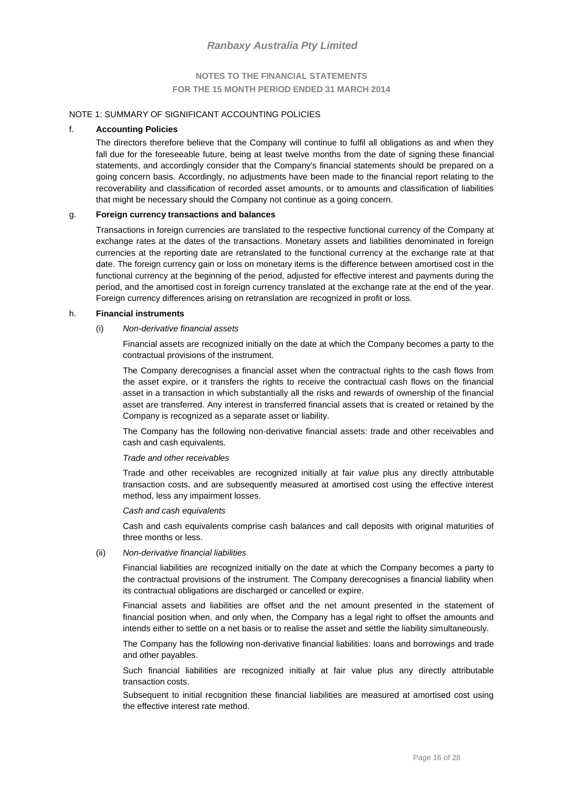**NOTES TO THE FINANCIAL STATEMENTS FOR THE 15 MONTH PERIOD ENDED 31 MARCH 2014**

#### NOTE 1: SUMMARY OF SIGNIFICANT ACCOUNTING POLICIES

#### f. **Accounting Policies**

The directors therefore believe that the Company will continue to fulfil all obligations as and when they fall due for the foreseeable future, being at least twelve months from the date of signing these financial statements, and accordingly consider that the Company's financial statements should be prepared on a going concern basis. Accordingly, no adjustments have been made to the financial report relating to the recoverability and classification of recorded asset amounts, or to amounts and classification of liabilities that might be necessary should the Company not continue as a going concern.

#### g. **Foreign currency transactions and balances**

Transactions in foreign currencies are translated to the respective functional currency of the Company at exchange rates at the dates of the transactions. Monetary assets and liabilities denominated in foreign currencies at the reporting date are retranslated to the functional currency at the exchange rate at that date. The foreign currency gain or loss on monetary items is the difference between amortised cost in the functional currency at the beginning of the period, adjusted for effective interest and payments during the period, and the amortised cost in foreign currency translated at the exchange rate at the end of the year. Foreign currency differences arising on retranslation are recognized in profit or loss.

#### h. **Financial instruments**

#### (i) *Non-derivative financial assets*

Financial assets are recognized initially on the date at which the Company becomes a party to the contractual provisions of the instrument.

The Company derecognises a financial asset when the contractual rights to the cash flows from the asset expire, or it transfers the rights to receive the contractual cash flows on the financial asset in a transaction in which substantially all the risks and rewards of ownership of the financial asset are transferred. Any interest in transferred financial assets that is created or retained by the Company is recognized as a separate asset or liability.

The Company has the following non-derivative financial assets: trade and other receivables and cash and cash equivalents.

#### *Trade and other receivables*

Trade and other receivables are recognized initially at fair *value* plus any directly attributable transaction costs, and are subsequently measured at amortised cost using the effective interest method, less any impairment losses.

#### *Cash and cash equivalents*

Cash and cash equivalents comprise cash balances and call deposits with original maturities of three months or less.

#### (ii) *Non-derivative financial liabilities*

Financial liabilities are recognized initially on the date at which the Company becomes a party to the contractual provisions of the instrument. The Company derecognises a financial liability when its contractual obligations are discharged or cancelled or expire.

Financial assets and liabilities are offset and the net amount presented in the statement of financial position when, and only when, the Company has a legal right to offset the amounts and intends either to settle on a net basis or to realise the asset and settle the liability simultaneously.

The Company has the following non-derivative financial liabilities: loans and borrowings and trade and other payables.

Such financial liabilities are recognized initially at fair value plus any directly attributable transaction costs.

Subsequent to initial recognition these financial liabilities are measured at amortised cost using the effective interest rate method.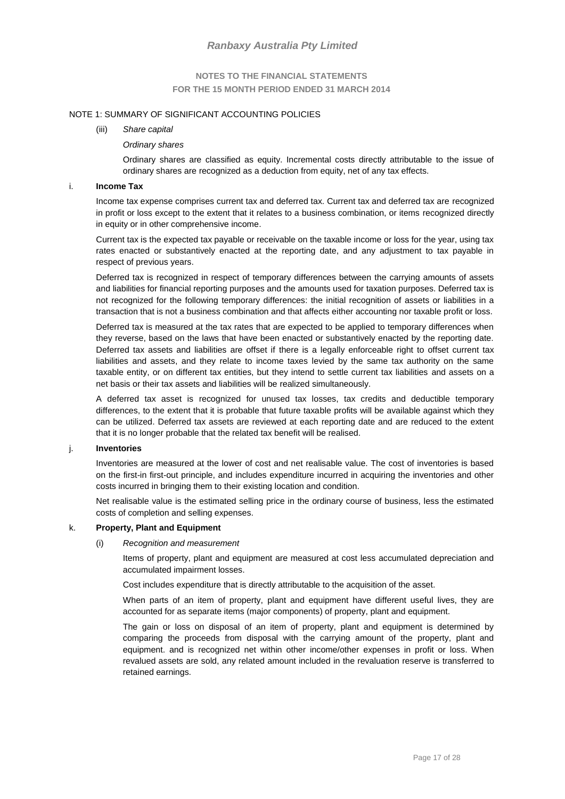### **NOTES TO THE FINANCIAL STATEMENTS FOR THE 15 MONTH PERIOD ENDED 31 MARCH 2014**

### NOTE 1: SUMMARY OF SIGNIFICANT ACCOUNTING POLICIES

(iii) *Share capital*

#### *Ordinary shares*

Ordinary shares are classified as equity. Incremental costs directly attributable to the issue of ordinary shares are recognized as a deduction from equity, net of any tax effects.

#### i. **Income Tax**

Income tax expense comprises current tax and deferred tax. Current tax and deferred tax are recognized in profit or loss except to the extent that it relates to a business combination, or items recognized directly in equity or in other comprehensive income.

Current tax is the expected tax payable or receivable on the taxable income or loss for the year, using tax rates enacted or substantively enacted at the reporting date, and any adjustment to tax payable in respect of previous years.

Deferred tax is recognized in respect of temporary differences between the carrying amounts of assets and liabilities for financial reporting purposes and the amounts used for taxation purposes. Deferred tax is not recognized for the following temporary differences: the initial recognition of assets or liabilities in a transaction that is not a business combination and that affects either accounting nor taxable profit or loss.

Deferred tax is measured at the tax rates that are expected to be applied to temporary differences when they reverse, based on the laws that have been enacted or substantively enacted by the reporting date. Deferred tax assets and liabilities are offset if there is a legally enforceable right to offset current tax liabilities and assets, and they relate to income taxes levied by the same tax authority on the same taxable entity, or on different tax entities, but they intend to settle current tax liabilities and assets on a net basis or their tax assets and liabilities will be realized simultaneously.

A deferred tax asset is recognized for unused tax losses, tax credits and deductible temporary differences, to the extent that it is probable that future taxable profits will be available against which they can be utilized. Deferred tax assets are reviewed at each reporting date and are reduced to the extent that it is no longer probable that the related tax benefit will be realised.

#### j. **Inventories**

Inventories are measured at the lower of cost and net realisable value. The cost of inventories is based on the first-in first-out principle, and includes expenditure incurred in acquiring the inventories and other costs incurred in bringing them to their existing location and condition.

Net realisable value is the estimated selling price in the ordinary course of business, less the estimated costs of completion and selling expenses.

#### k. **Property, Plant and Equipment**

#### (i) *Recognition and measurement*

Items of property, plant and equipment are measured at cost less accumulated depreciation and accumulated impairment losses.

Cost includes expenditure that is directly attributable to the acquisition of the asset.

When parts of an item of property, plant and equipment have different useful lives, they are accounted for as separate items (major components) of property, plant and equipment.

The gain or loss on disposal of an item of property, plant and equipment is determined by comparing the proceeds from disposal with the carrying amount of the property, plant and equipment. and is recognized net within other income/other expenses in profit or loss. When revalued assets are sold, any related amount included in the revaluation reserve is transferred to retained earnings.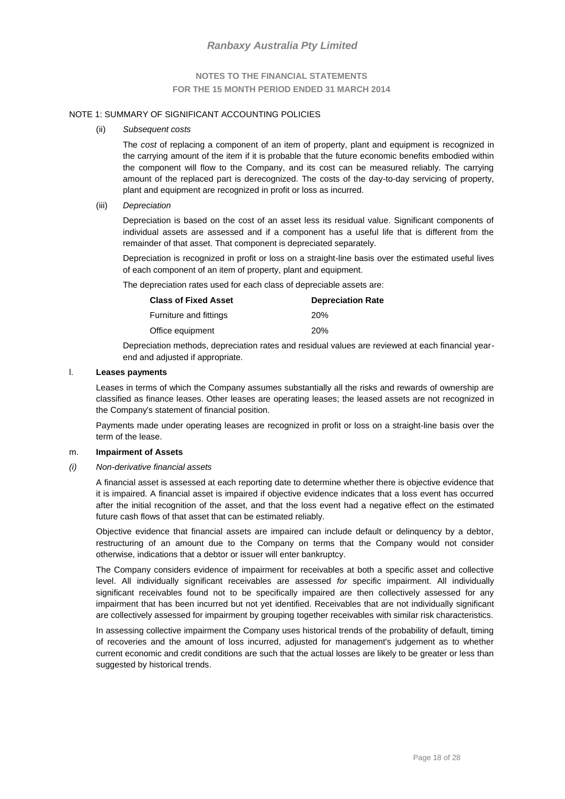# **NOTES TO THE FINANCIAL STATEMENTS FOR THE 15 MONTH PERIOD ENDED 31 MARCH 2014**

### NOTE 1: SUMMARY OF SIGNIFICANT ACCOUNTING POLICIES

(ii) *Subsequent costs*

The *cost* of replacing a component of an item of property, plant and equipment is recognized in the carrying amount of the item if it is probable that the future economic benefits embodied within the component will flow to the Company, and its cost can be measured reliably. The carrying amount of the replaced part is derecognized. The costs of the day-to-day servicing of property, plant and equipment are recognized in profit or loss as incurred.

#### (iii) *Depreciation*

Depreciation is based on the cost of an asset less its residual value. Significant components of individual assets are assessed and if a component has a useful life that is different from the remainder of that asset. That component is depreciated separately.

Depreciation is recognized in profit or loss on a straight-line basis over the estimated useful lives of each component of an item of property, plant and equipment.

The depreciation rates used for each class of depreciable assets are:

| <b>Class of Fixed Asset</b> | <b>Depreciation Rate</b> |
|-----------------------------|--------------------------|
| Furniture and fittings      | 20%                      |
| Office equipment            | <b>20%</b>               |

Depreciation methods, depreciation rates and residual values are reviewed at each financial yearend and adjusted if appropriate.

#### l. **Leases payments**

Leases in terms of which the Company assumes substantially all the risks and rewards of ownership are classified as finance leases. Other leases are operating leases; the leased assets are not recognized in the Company's statement of financial position.

Payments made under operating leases are recognized in profit or loss on a straight-line basis over the term of the lease.

#### m. **Impairment of Assets**

#### *(i) Non-derivative financial assets*

A financial asset is assessed at each reporting date to determine whether there is objective evidence that it is impaired. A financial asset is impaired if objective evidence indicates that a loss event has occurred after the initial recognition of the asset, and that the loss event had a negative effect on the estimated future cash flows of that asset that can be estimated reliably.

Objective evidence that financial assets are impaired can include default or delinquency by a debtor, restructuring of an amount due to the Company on terms that the Company would not consider otherwise, indications that a debtor or issuer will enter bankruptcy.

The Company considers evidence of impairment for receivables at both a specific asset and collective level. All individually significant receivables are assessed *for* specific impairment. All individually significant receivables found not to be specifically impaired are then collectively assessed for any impairment that has been incurred but not yet identified. Receivables that are not individually significant are collectively assessed for impairment by grouping together receivables with similar risk characteristics.

In assessing collective impairment the Company uses historical trends of the probability of default, timing of recoveries and the amount of loss incurred, adjusted for management's judgement as to whether current economic and credit conditions are such that the actual losses are likely to be greater or less than suggested by historical trends.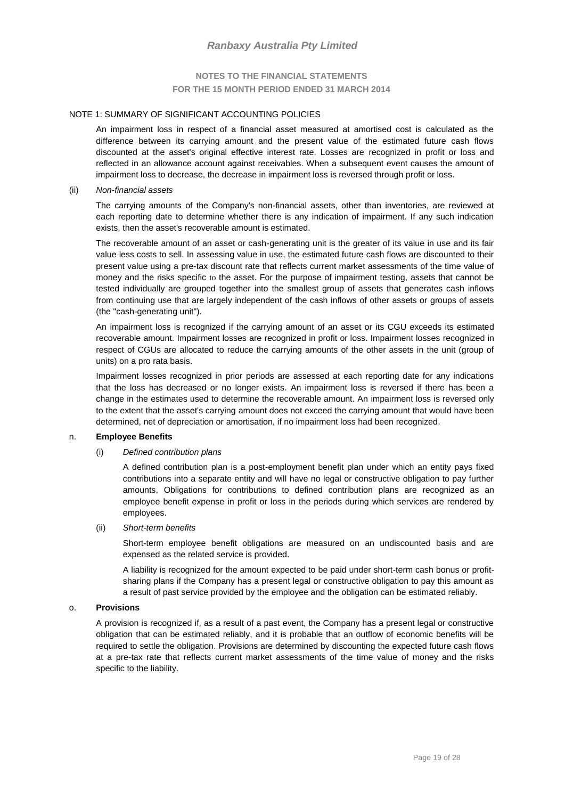# **NOTES TO THE FINANCIAL STATEMENTS FOR THE 15 MONTH PERIOD ENDED 31 MARCH 2014**

#### NOTE 1: SUMMARY OF SIGNIFICANT ACCOUNTING POLICIES

An impairment loss in respect of a financial asset measured at amortised cost is calculated as the difference between its carrying amount and the present value of the estimated future cash flows discounted at the asset's original effective interest rate. Losses are recognized in profit or loss and reflected in an allowance account against receivables. When a subsequent event causes the amount of impairment loss to decrease, the decrease in impairment loss is reversed through profit or loss.

#### (ii) *Non-financial assets*

The carrying amounts of the Company's non-financial assets, other than inventories, are reviewed at each reporting date to determine whether there is any indication of impairment. If any such indication exists, then the asset's recoverable amount is estimated.

The recoverable amount of an asset or cash-generating unit is the greater of its value in use and its fair value less costs to sell. In assessing value in use, the estimated future cash flows are discounted to their present value using a pre-tax discount rate that reflects current market assessments of the time value of money and the risks specific to the asset. For the purpose of impairment testing, assets that cannot be tested individually are grouped together into the smallest group of assets that generates cash inflows from continuing use that are largely independent of the cash inflows of other assets or groups of assets (the "cash-generating unit").

An impairment loss is recognized if the carrying amount of an asset or its CGU exceeds its estimated recoverable amount. Impairment losses are recognized in profit or loss. Impairment losses recognized in respect of CGUs are allocated to reduce the carrying amounts of the other assets in the unit (group of units) on a pro rata basis.

Impairment losses recognized in prior periods are assessed at each reporting date for any indications that the loss has decreased or no longer exists. An impairment loss is reversed if there has been a change in the estimates used to determine the recoverable amount. An impairment loss is reversed only to the extent that the asset's carrying amount does not exceed the carrying amount that would have been determined, net of depreciation or amortisation, if no impairment loss had been recognized.

#### n. **Employee Benefits**

#### (i) *Defined contribution plans*

A defined contribution plan is a post-employment benefit plan under which an entity pays fixed contributions into a separate entity and will have no legal or constructive obligation to pay further amounts. Obligations for contributions to defined contribution plans are recognized as an employee benefit expense in profit or loss in the periods during which services are rendered by employees.

#### (ii) *Short-term benefits*

Short-term employee benefit obligations are measured on an undiscounted basis and are expensed as the related service is provided.

A liability is recognized for the amount expected to be paid under short-term cash bonus or profitsharing plans if the Company has a present legal or constructive obligation to pay this amount as a result of past service provided by the employee and the obligation can be estimated reliably.

#### o. **Provisions**

A provision is recognized if, as a result of a past event, the Company has a present legal or constructive obligation that can be estimated reliably, and it is probable that an outflow of economic benefits will be required to settle the obligation. Provisions are determined by discounting the expected future cash flows at a pre-tax rate that reflects current market assessments of the time value of money and the risks specific to the liability.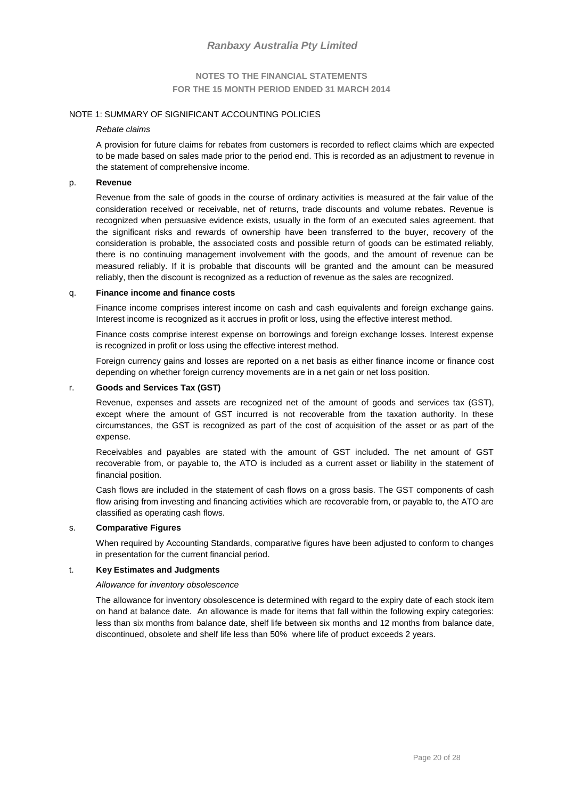### **NOTES TO THE FINANCIAL STATEMENTS FOR THE 15 MONTH PERIOD ENDED 31 MARCH 2014**

#### NOTE 1: SUMMARY OF SIGNIFICANT ACCOUNTING POLICIES

#### *Rebate claims*

A provision for future claims for rebates from customers is recorded to reflect claims which are expected to be made based on sales made prior to the period end. This is recorded as an adjustment to revenue in the statement of comprehensive income.

#### p. **Revenue**

Revenue from the sale of goods in the course of ordinary activities is measured at the fair value of the consideration received or receivable, net of returns, trade discounts and volume rebates. Revenue is recognized when persuasive evidence exists, usually in the form of an executed sales agreement. that the significant risks and rewards of ownership have been transferred to the buyer, recovery of the consideration is probable, the associated costs and possible return of goods can be estimated reliably, there is no continuing management involvement with the goods, and the amount of revenue can be measured reliably. If it is probable that discounts will be granted and the amount can be measured reliably, then the discount is recognized as a reduction of revenue as the sales are recognized.

#### q. **Finance income and finance costs**

Finance income comprises interest income on cash and cash equivalents and foreign exchange gains. Interest income is recognized as it accrues in profit or loss, using the effective interest method.

Finance costs comprise interest expense on borrowings and foreign exchange losses. Interest expense is recognized in profit or loss using the effective interest method.

Foreign currency gains and losses are reported on a net basis as either finance income or finance cost depending on whether foreign currency movements are in a net gain or net loss position.

#### r. **Goods and Services Tax (GST)**

Revenue, expenses and assets are recognized net of the amount of goods and services tax (GST), except where the amount of GST incurred is not recoverable from the taxation authority. In these circumstances, the GST is recognized as part of the cost of acquisition of the asset or as part of the expense.

Receivables and payables are stated with the amount of GST included. The net amount of GST recoverable from, or payable to, the ATO is included as a current asset or liability in the statement of financial position.

Cash flows are included in the statement of cash flows on a gross basis. The GST components of cash flow arising from investing and financing activities which are recoverable from, or payable to, the ATO are classified as operating cash flows.

### s. **Comparative Figures**

When required by Accounting Standards, comparative figures have been adjusted to conform to changes in presentation for the current financial period.

#### t. **Key Estimates and Judgments**

#### *Allowance for inventory obsolescence*

The allowance for inventory obsolescence is determined with regard to the expiry date of each stock item on hand at balance date. An allowance is made for items that fall within the following expiry categories: less than six months from balance date, shelf life between six months and 12 months from balance date, discontinued, obsolete and shelf life less than 50% where life of product exceeds 2 years.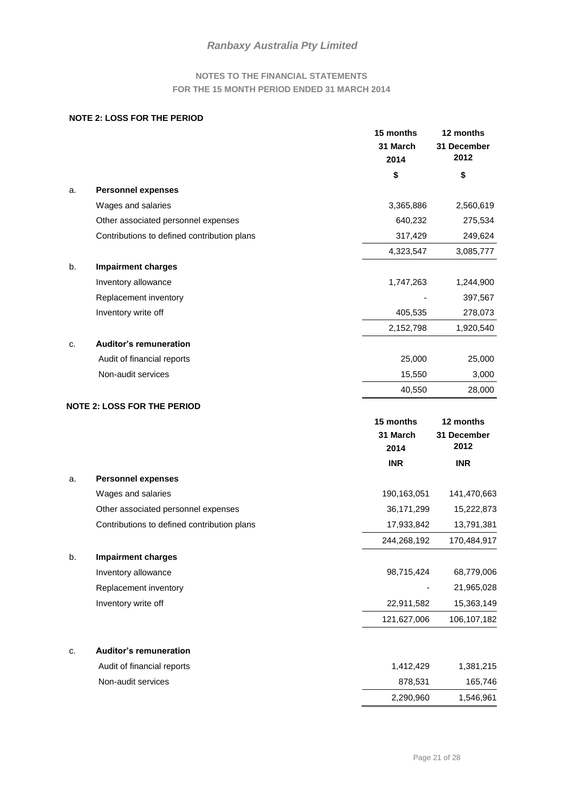# **NOTES TO THE FINANCIAL STATEMENTS FOR THE 15 MONTH PERIOD ENDED 31 MARCH 2014**

### **NOTE 2: LOSS FOR THE PERIOD**

|    |                                             | 15 months    | 12 months           |
|----|---------------------------------------------|--------------|---------------------|
|    |                                             | 31 March     | 31 December<br>2012 |
|    |                                             | 2014         |                     |
|    |                                             | \$           | \$                  |
| a. | <b>Personnel expenses</b>                   |              |                     |
|    | Wages and salaries                          | 3,365,886    | 2,560,619           |
|    | Other associated personnel expenses         | 640,232      | 275,534             |
|    | Contributions to defined contribution plans | 317,429      | 249,624             |
|    |                                             | 4,323,547    | 3,085,777           |
| b. | <b>Impairment charges</b>                   |              |                     |
|    | Inventory allowance                         | 1,747,263    | 1,244,900           |
|    | Replacement inventory                       |              | 397,567             |
|    | Inventory write off                         | 405,535      | 278,073             |
|    |                                             | 2,152,798    | 1,920,540           |
| c. | <b>Auditor's remuneration</b>               |              |                     |
|    | Audit of financial reports                  | 25,000       | 25,000              |
|    | Non-audit services                          | 15,550       | 3,000               |
|    |                                             | 40,550       | 28,000              |
|    | <b>NOTE 2: LOSS FOR THE PERIOD</b>          |              |                     |
|    |                                             | 15 months    | 12 months           |
|    |                                             | 31 March     | 31 December         |
|    |                                             | 2014         | 2012                |
|    |                                             | <b>INR</b>   | <b>INR</b>          |
| a. | <b>Personnel expenses</b>                   |              |                     |
|    | Wages and salaries                          | 190,163,051  | 141,470,663         |
|    | Other associated personnel expenses         | 36, 171, 299 | 15,222,873          |
|    | Contributions to defined contribution plans | 17,933,842   | 13,791,381          |
|    |                                             | 244,268,192  | 170,484,917         |
| b. | <b>Impairment charges</b>                   |              |                     |
|    | Inventory allowance                         | 98,715,424   | 68,779,006          |
|    | Replacement inventory                       |              | 21,965,028          |
|    | Inventory write off                         | 22,911,582   | 15,363,149          |
|    |                                             | 121,627,006  | 106,107,182         |
|    |                                             |              |                     |
| c. | Auditor's remuneration                      |              |                     |
|    | Audit of financial reports                  | 1,412,429    | 1,381,215           |
|    | Non-audit services                          | 878,531      | 165,746             |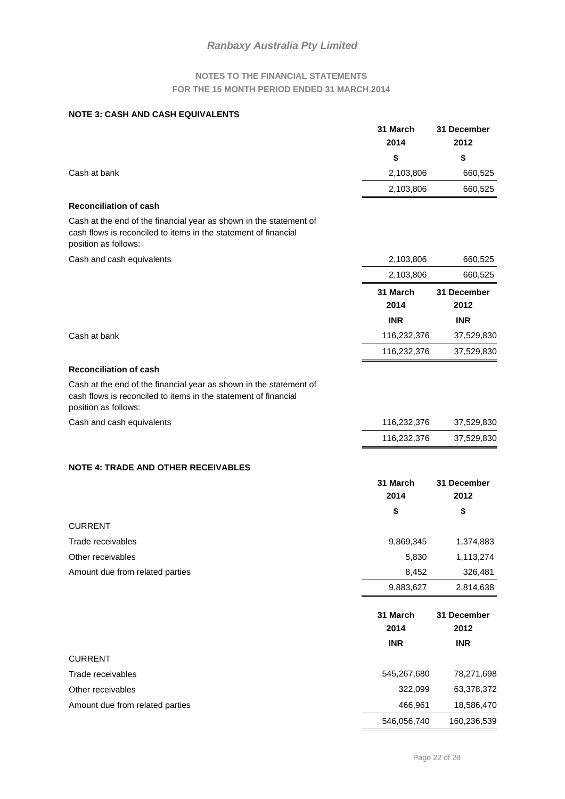# **NOTES TO THE FINANCIAL STATEMENTS FOR THE 15 MONTH PERIOD ENDED 31 MARCH 2014**

# **NOTE 3: CASH AND CASH EQUIVALENTS**

|                                                                                                                                                               | 31 March<br>2014 | 31 December<br>2012 |
|---------------------------------------------------------------------------------------------------------------------------------------------------------------|------------------|---------------------|
|                                                                                                                                                               | \$               | \$                  |
| Cash at bank                                                                                                                                                  | 2,103,806        | 660,525             |
|                                                                                                                                                               | 2,103,806        | 660,525             |
| <b>Reconciliation of cash</b>                                                                                                                                 |                  |                     |
| Cash at the end of the financial year as shown in the statement of<br>cash flows is reconciled to items in the statement of financial<br>position as follows: |                  |                     |
| Cash and cash equivalents                                                                                                                                     | 2,103,806        | 660,525             |
|                                                                                                                                                               | 2,103,806        | 660,525             |
|                                                                                                                                                               | 31 March         | 31 December         |
|                                                                                                                                                               | 2014             | 2012                |
|                                                                                                                                                               | <b>INR</b>       | <b>INR</b>          |
| Cash at bank                                                                                                                                                  | 116,232,376      | 37,529,830          |
|                                                                                                                                                               | 116,232,376      | 37,529,830          |
| <b>Reconciliation of cash</b>                                                                                                                                 |                  |                     |
| Cash at the end of the financial year as shown in the statement of<br>cash flows is reconciled to items in the statement of financial<br>position as follows: |                  |                     |
| Cash and cash equivalents                                                                                                                                     | 116,232,376      | 37,529,830          |
|                                                                                                                                                               | 116,232,376      | 37,529,830          |
| <b>NOTE 4: TRADE AND OTHER RECEIVABLES</b>                                                                                                                    |                  |                     |
|                                                                                                                                                               | 31 March         | 31 December         |
|                                                                                                                                                               | 2014             | 2012                |
|                                                                                                                                                               | \$               | \$                  |
| <b>CURRENT</b>                                                                                                                                                |                  |                     |
| Trade receivables                                                                                                                                             | 9,869,345        | 1,374,883           |
| Other receivables                                                                                                                                             | 5,830            | 1,113,274           |
| Amount due from related parties                                                                                                                               | 8,452            | 326,481             |
|                                                                                                                                                               | 9,883,627        | 2,814,638           |
|                                                                                                                                                               | 31 March<br>2014 | 31 December<br>2012 |
|                                                                                                                                                               | <b>INR</b>       | <b>INR</b>          |
| <b>CURRENT</b>                                                                                                                                                |                  |                     |
| Trade receivables                                                                                                                                             | 545,267,680      | 78,271,698          |
| Other receivables                                                                                                                                             | 322,099          | 63,378,372          |
| Amount due from related parties                                                                                                                               | 466,961          | 18,586,470          |
|                                                                                                                                                               | 546,056,740      | 160,236,539         |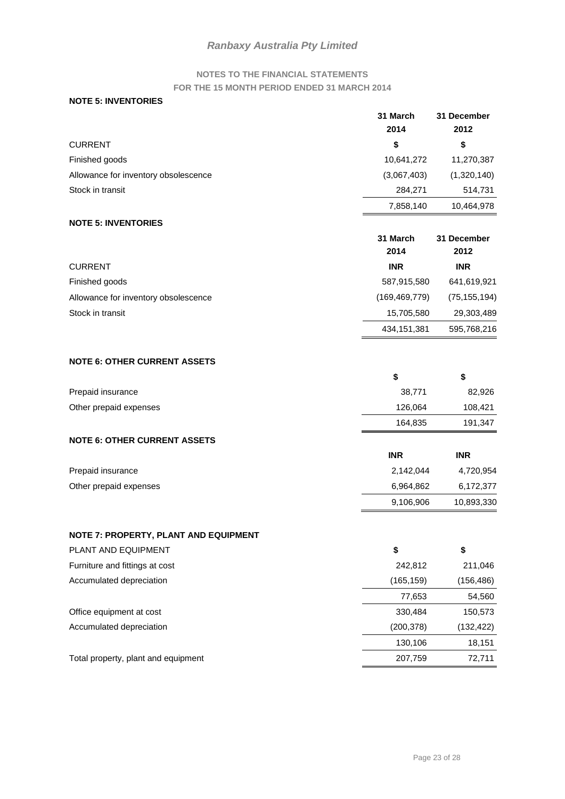# **NOTES TO THE FINANCIAL STATEMENTS FOR THE 15 MONTH PERIOD ENDED 31 MARCH 2014**

# **NOTE 5: INVENTORIES**

|                                      | 31 March        | 31 December    |
|--------------------------------------|-----------------|----------------|
|                                      | 2014            | 2012           |
| <b>CURRENT</b>                       | \$              | \$             |
| Finished goods                       | 10,641,272      | 11,270,387     |
| Allowance for inventory obsolescence | (3,067,403)     | (1,320,140)    |
| Stock in transit                     | 284,271         | 514,731        |
|                                      | 7,858,140       | 10,464,978     |
| <b>NOTE 5: INVENTORIES</b>           |                 |                |
|                                      | 31 March        | 31 December    |
|                                      | 2014            | 2012           |
| <b>CURRENT</b>                       | <b>INR</b>      | <b>INR</b>     |
| Finished goods                       | 587,915,580     | 641,619,921    |
| Allowance for inventory obsolescence | (169, 469, 779) | (75, 155, 194) |
| Stock in transit                     | 15,705,580      | 29,303,489     |
|                                      | 434,151,381     | 595,768,216    |

# **NOTE 6: OTHER CURRENT ASSETS**

| Prepaid insurance      | 38,771  | 82,926  |
|------------------------|---------|---------|
| Other prepaid expenses | 126,064 | 108,421 |
|                        | 164,835 | 191,347 |

### **NOTE 6: OTHER CURRENT ASSETS**

|                        | <b>INR</b> | <b>INR</b> |
|------------------------|------------|------------|
| Prepaid insurance      | 2,142,044  | 4,720,954  |
| Other prepaid expenses | 6.964.862  | 6,172,377  |
|                        | 9,106,906  | 10,893,330 |

### **NOTE 7: PROPERTY, PLANT AND EQUIPMENT**

| PLANT AND EQUIPMENT                 | \$         | \$         |
|-------------------------------------|------------|------------|
| Furniture and fittings at cost      | 242,812    | 211,046    |
| Accumulated depreciation            | (165,159)  | (156, 486) |
|                                     | 77,653     | 54,560     |
| Office equipment at cost            | 330.484    | 150,573    |
| Accumulated depreciation            | (200, 378) | (132, 422) |
|                                     | 130,106    | 18,151     |
| Total property, plant and equipment | 207,759    | 72,711     |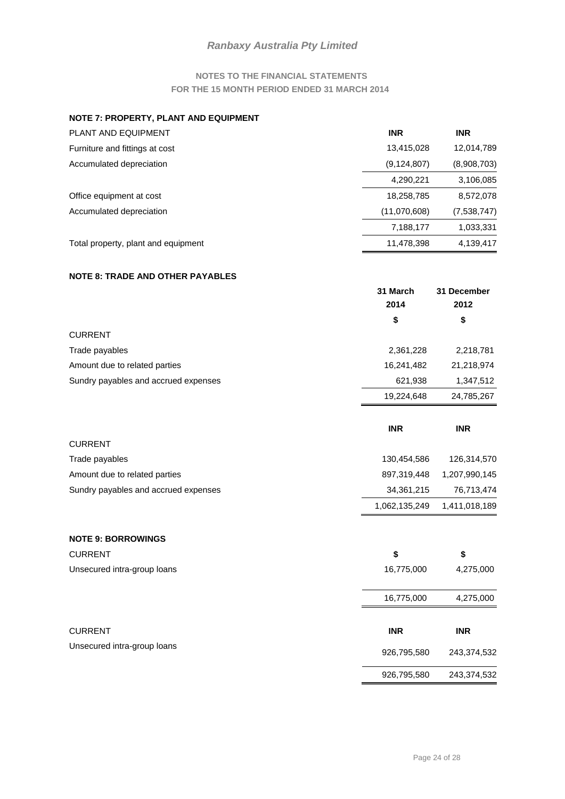# **NOTES TO THE FINANCIAL STATEMENTS FOR THE 15 MONTH PERIOD ENDED 31 MARCH 2014**

### **NOTE 7: PROPERTY, PLANT AND EQUIPMENT**

| PLANT AND EQUIPMENT                 | <b>INR</b>    | <b>INR</b>  |
|-------------------------------------|---------------|-------------|
| Furniture and fittings at cost      | 13,415,028    | 12,014,789  |
| Accumulated depreciation            | (9, 124, 807) | (8,908,703) |
|                                     | 4,290,221     | 3,106,085   |
| Office equipment at cost            | 18,258,785    | 8,572,078   |
| Accumulated depreciation            | (11,070,608)  | (7,538,747) |
|                                     | 7,188,177     | 1,033,331   |
| Total property, plant and equipment | 11,478,398    | 4,139,417   |

### **NOTE 8: TRADE AND OTHER PAYABLES**

|                                      | 31 March<br>2014<br>\$ | 31 December<br>2012<br>\$ |
|--------------------------------------|------------------------|---------------------------|
|                                      |                        |                           |
|                                      |                        |                           |
| <b>CURRENT</b>                       |                        |                           |
| Trade payables                       | 2,361,228              | 2,218,781                 |
| Amount due to related parties        | 16,241,482             | 21,218,974                |
| Sundry payables and accrued expenses | 621,938                | 1,347,512                 |
|                                      | 19,224,648             | 24,785,267                |
|                                      |                        |                           |

|                                      | <b>INR</b>    | <b>INR</b>    |
|--------------------------------------|---------------|---------------|
| <b>CURRENT</b>                       |               |               |
| Trade payables                       | 130,454,586   | 126,314,570   |
| Amount due to related parties        | 897.319.448   | 1.207.990.145 |
| Sundry payables and accrued expenses | 34,361,215    | 76,713,474    |
|                                      | 1,062,135,249 | 1,411,018,189 |

| <b>NOTE 9: BORROWINGS</b>   |             |             |
|-----------------------------|-------------|-------------|
| <b>CURRENT</b>              | \$          | \$          |
| Unsecured intra-group loans | 16,775,000  | 4,275,000   |
|                             | 16,775,000  | 4,275,000   |
|                             |             |             |
| <b>CURRENT</b>              | <b>INR</b>  | <b>INR</b>  |
| Unsecured intra-group loans | 926,795,580 | 243,374,532 |
|                             | 926,795,580 | 243,374,532 |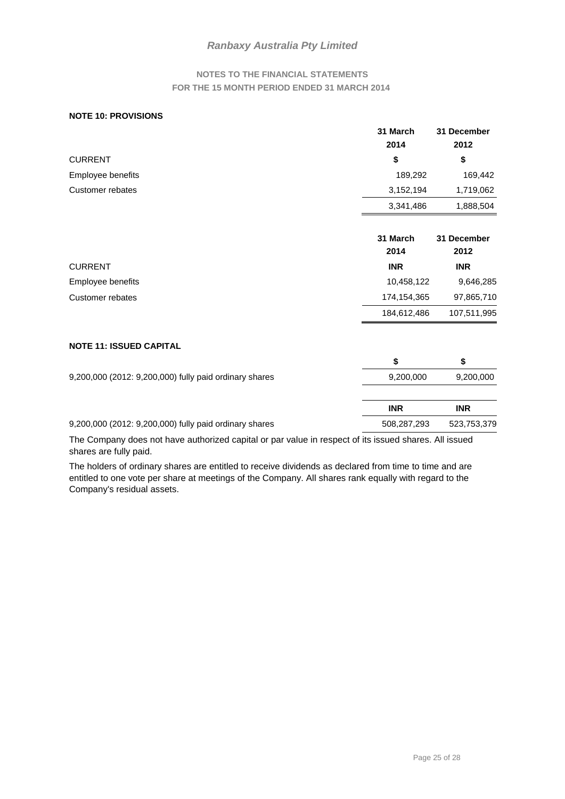# **NOTES TO THE FINANCIAL STATEMENTS FOR THE 15 MONTH PERIOD ENDED 31 MARCH 2014**

### **NOTE 10: PROVISIONS**

|                                                        | 31 March         | 31 December         |
|--------------------------------------------------------|------------------|---------------------|
|                                                        | 2014             | 2012                |
| <b>CURRENT</b>                                         | \$               | \$                  |
| Employee benefits                                      | 189,292          | 169,442             |
| <b>Customer rebates</b>                                | 3,152,194        | 1,719,062           |
|                                                        | 3,341,486        | 1,888,504           |
|                                                        | 31 March<br>2014 | 31 December<br>2012 |
| <b>CURRENT</b>                                         | <b>INR</b>       | <b>INR</b>          |
| Employee benefits                                      | 10,458,122       | 9,646,285           |
| <b>Customer rebates</b>                                | 174, 154, 365    | 97,865,710          |
|                                                        | 184,612,486      | 107,511,995         |
| <b>NOTE 11: ISSUED CAPITAL</b>                         |                  |                     |
|                                                        | \$               | \$                  |
| 9,200,000 (2012: 9,200,000) fully paid ordinary shares | 9,200,000        | 9,200,000           |
|                                                        | <b>INR</b>       | <b>INR</b>          |
| 9,200,000 (2012: 9,200,000) fully paid ordinary shares | 508,287,293      | 523,753,379         |

The Company does not have authorized capital or par value in respect of its issued shares. All issued shares are fully paid.

The holders of ordinary shares are entitled to receive dividends as declared from time to time and are entitled to one vote per share at meetings of the Company. All shares rank equally with regard to the Company's residual assets.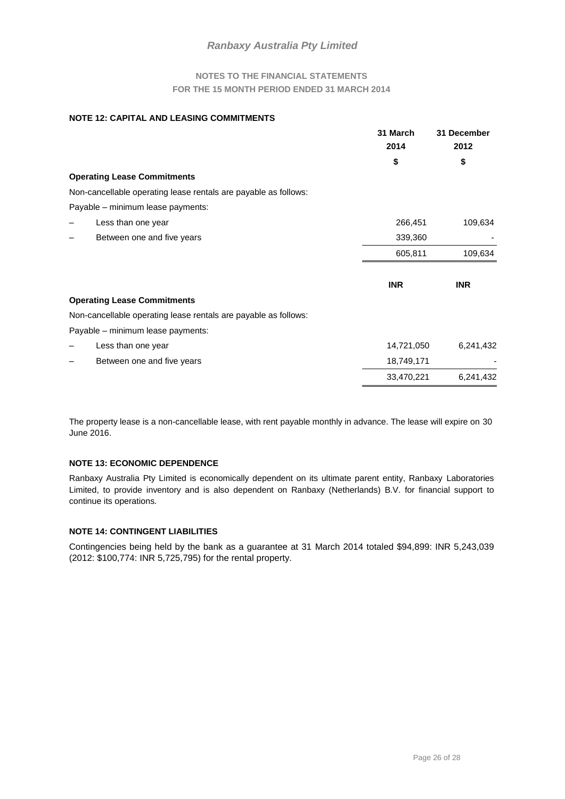# **NOTES TO THE FINANCIAL STATEMENTS FOR THE 15 MONTH PERIOD ENDED 31 MARCH 2014**

### **NOTE 12: CAPITAL AND LEASING COMMITMENTS**

|                                                                 | 31 March<br>2014<br>\$ | 31 December<br>2012<br>\$ |
|-----------------------------------------------------------------|------------------------|---------------------------|
|                                                                 |                        |                           |
| <b>Operating Lease Commitments</b>                              |                        |                           |
| Non-cancellable operating lease rentals are payable as follows: |                        |                           |
| Payable - minimum lease payments:                               |                        |                           |
| Less than one year                                              | 266,451                | 109,634                   |
| Between one and five years                                      | 339,360                |                           |
|                                                                 | 605,811                | 109,634                   |
|                                                                 | <b>INR</b>             | <b>INR</b>                |
| <b>Operating Lease Commitments</b>                              |                        |                           |
| Non-cancellable operating lease rentals are payable as follows: |                        |                           |
| Payable - minimum lease payments:                               |                        |                           |
| Less than one year                                              | 14,721,050             | 6,241,432                 |
| Between one and five years                                      | 18,749,171             |                           |
|                                                                 | 33,470,221             | 6,241,432                 |

The property lease is a non-cancellable lease, with rent payable monthly in advance. The lease will expire on 30 June 2016.

# **NOTE 13: ECONOMIC DEPENDENCE**

Ranbaxy Australia Pty Limited is economically dependent on its ultimate parent entity, Ranbaxy Laboratories Limited, to provide inventory and is also dependent on Ranbaxy (Netherlands) B.V. for financial support to continue its operations.

### **NOTE 14: CONTINGENT LIABILITIES**

Contingencies being held by the bank as a guarantee at 31 March 2014 totaled \$94,899: INR 5,243,039 (2012: \$100,774: INR 5,725,795) for the rental property.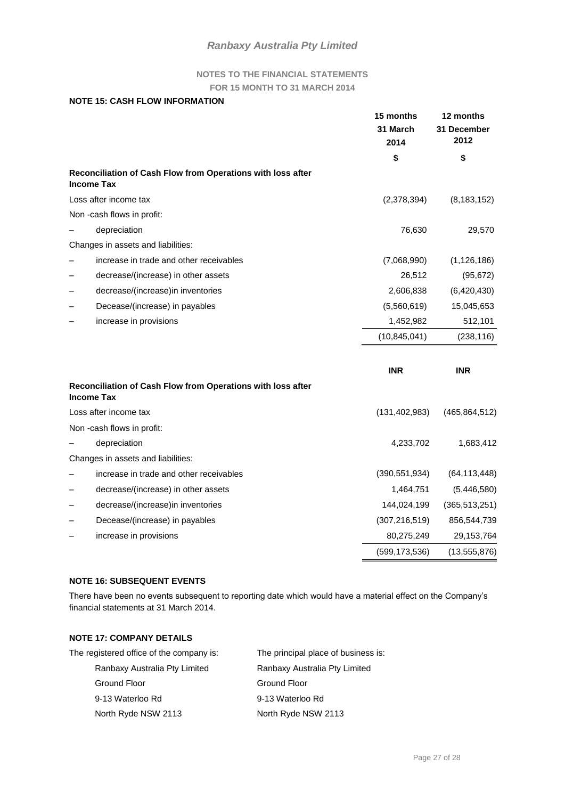# **NOTES TO THE FINANCIAL STATEMENTS FOR 15 MONTH TO 31 MARCH 2014**

### **NOTE 15: CASH FLOW INFORMATION**

|                                                                                  | 15 months<br>31 March<br>2014 | 12 months<br>31 December<br>2012 |
|----------------------------------------------------------------------------------|-------------------------------|----------------------------------|
|                                                                                  | \$                            | \$                               |
| Reconciliation of Cash Flow from Operations with loss after<br><b>Income Tax</b> |                               |                                  |
| Loss after income tax                                                            | (2,378,394)                   | (8, 183, 152)                    |
| Non-cash flows in profit:                                                        |                               |                                  |
| depreciation                                                                     | 76,630                        | 29,570                           |
| Changes in assets and liabilities:                                               |                               |                                  |
| increase in trade and other receivables                                          | (7,068,990)                   | (1, 126, 186)                    |
| decrease/(increase) in other assets                                              | 26,512                        | (95, 672)                        |
| decrease/(increase)in inventories                                                | 2,606,838                     | (6,420,430)                      |
| Decease/(increase) in payables                                                   | (5,560,619)                   | 15,045,653                       |
| increase in provisions                                                           | 1,452,982                     | 512,101                          |
|                                                                                  | (10, 845, 041)                | (238, 116)                       |
|                                                                                  |                               |                                  |
|                                                                                  | <b>INR</b>                    | <b>INR</b>                       |
| Reconciliation of Cash Flow from Operations with loss after<br><b>Income Tax</b> |                               |                                  |
| Loss after income tax                                                            | (131, 402, 983)               | (465, 864, 512)                  |
| Non-cash flows in profit:                                                        |                               |                                  |
| depreciation                                                                     | 4,233,702                     | 1,683,412                        |
| Changes in assets and liabilities:                                               |                               |                                  |
| increase in trade and other receivables                                          | (390, 551, 934)               | (64, 113, 448)                   |
| decrease/(increase) in other assets                                              | 1,464,751                     | (5,446,580)                      |
| decrease/(increase)in inventories                                                | 144,024,199                   | (365, 513, 251)                  |
| Decease/(increase) in payables                                                   | (307, 216, 519)               | 856,544,739                      |
| increase in provisions                                                           | 80,275,249                    | 29,153,764                       |
|                                                                                  | (599, 173, 536)               | (13, 555, 876)                   |

### **NOTE 16: SUBSEQUENT EVENTS**

There have been no events subsequent to reporting date which would have a material effect on the Company's financial statements at 31 March 2014.

### **NOTE 17: COMPANY DETAILS**

| The registered office of the company is: | The principal place of business is: |
|------------------------------------------|-------------------------------------|
| Ranbaxy Australia Pty Limited            | Ranbaxy Australia Pty Limited       |
| Ground Floor                             | <b>Ground Floor</b>                 |
| 9-13 Waterloo Rd                         | 9-13 Waterloo Rd                    |
| North Ryde NSW 2113                      | North Ryde NSW 2113                 |